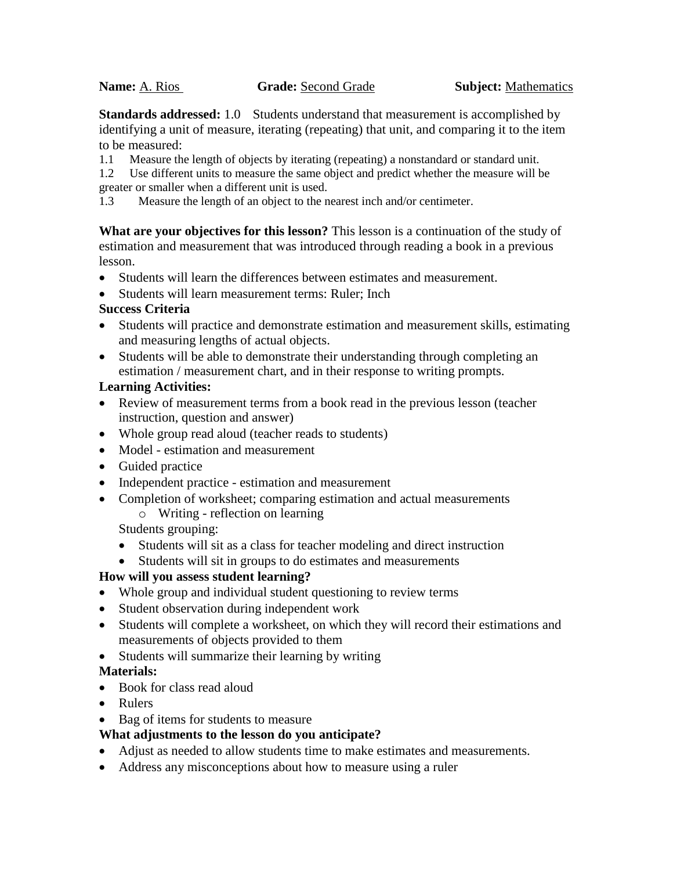**Standards addressed:** 1.0 Students understand that measurement is accomplished by identifying a unit of measure, iterating (repeating) that unit, and comparing it to the item to be measured:

1.1 Measure the length of objects by iterating (repeating) a nonstandard or standard unit.

1.2 Use different units to measure the same object and predict whether the measure will be greater or smaller when a different unit is used.

1.3 Measure the length of an object to the nearest inch and/or centimeter.

**What are your objectives for this lesson?** This lesson is a continuation of the study of estimation and measurement that was introduced through reading a book in a previous lesson.

- Students will learn the differences between estimates and measurement.
- Students will learn measurement terms: Ruler; Inch

## **Success Criteria**

- Students will practice and demonstrate estimation and measurement skills, estimating and measuring lengths of actual objects.
- Students will be able to demonstrate their understanding through completing an estimation / measurement chart, and in their response to writing prompts.

# **Learning Activities:**

- Review of measurement terms from a book read in the previous lesson (teacher instruction, question and answer)
- Whole group read aloud (teacher reads to students)
- Model estimation and measurement
- Guided practice
- Independent practice estimation and measurement
- Completion of worksheet; comparing estimation and actual measurements
	- o Writing reflection on learning

Students grouping:

- Students will sit as a class for teacher modeling and direct instruction
- Students will sit in groups to do estimates and measurements

# **How will you assess student learning?**

- Whole group and individual student questioning to review terms
- Student observation during independent work
- Students will complete a worksheet, on which they will record their estimations and measurements of objects provided to them
- Students will summarize their learning by writing

# **Materials:**

- Book for class read aloud
- Rulers
- Bag of items for students to measure

# **What adjustments to the lesson do you anticipate?**

- Adjust as needed to allow students time to make estimates and measurements.
- Address any misconceptions about how to measure using a ruler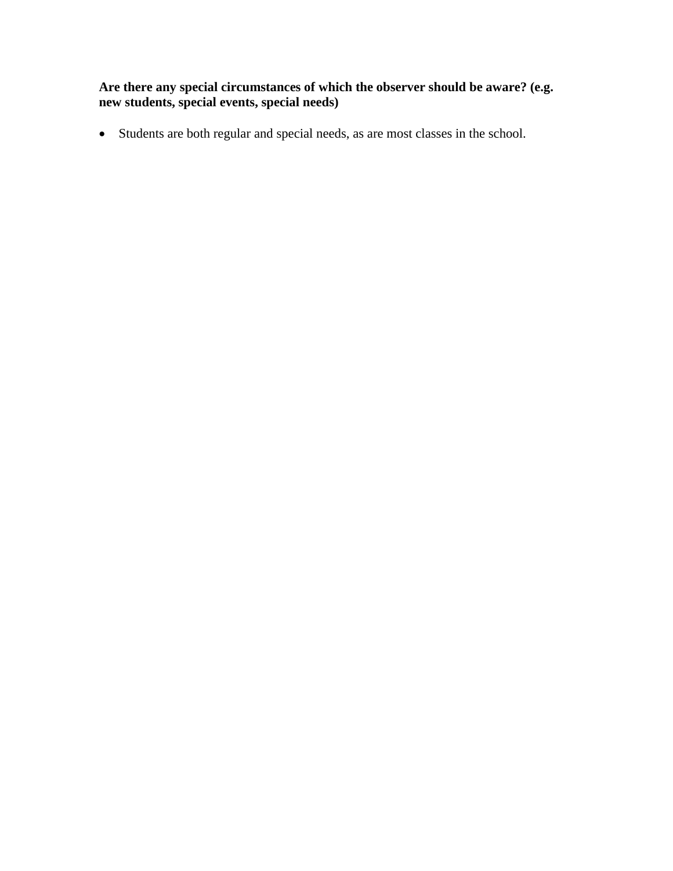**Are there any special circumstances of which the observer should be aware? (e.g. new students, special events, special needs)**

Students are both regular and special needs, as are most classes in the school.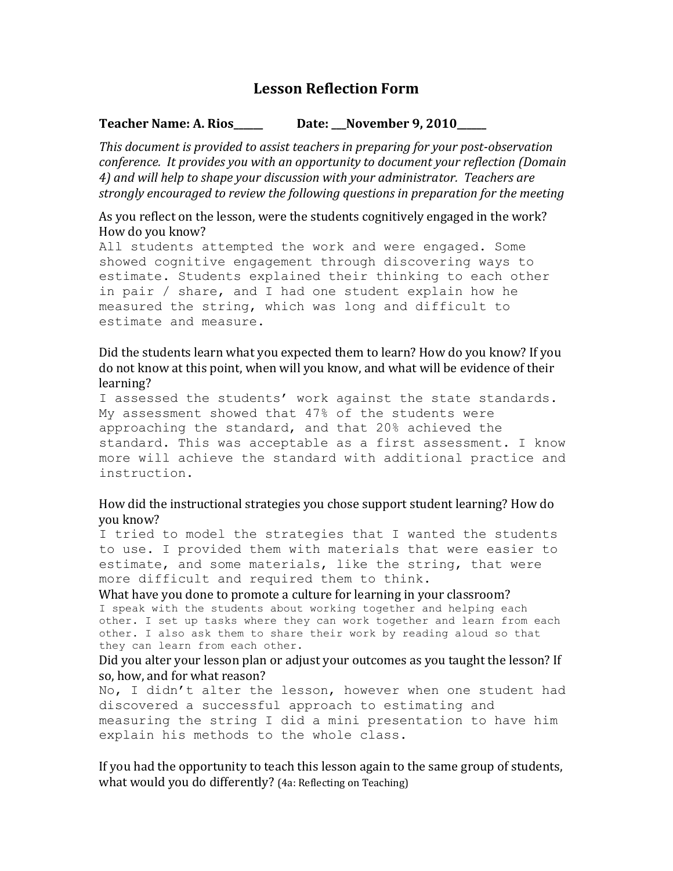# **Lesson Reflection Form**

#### **Teacher Name: A. Rios\_\_\_\_\_\_ Date: \_\_\_November 9, 2010\_\_\_\_\_\_**

*This document is provided to assist teachers in preparing for your post-observation conference. It provides you with an opportunity to document your reflection (Domain 4) and will help to shape your discussion with your administrator. Teachers are strongly encouraged to review the following questions in preparation for the meeting*

## As you reflect on the lesson, were the students cognitively engaged in the work? How do you know?

All students attempted the work and were engaged. Some showed cognitive engagement through discovering ways to estimate. Students explained their thinking to each other in pair / share, and I had one student explain how he measured the string, which was long and difficult to estimate and measure.

## Did the students learn what you expected them to learn? How do you know? If you do not know at this point, when will you know, and what will be evidence of their learning?

I assessed the students' work against the state standards. My assessment showed that 47% of the students were approaching the standard, and that 20% achieved the standard. This was acceptable as a first assessment. I know more will achieve the standard with additional practice and instruction.

## How did the instructional strategies you chose support student learning? How do you know?

I tried to model the strategies that I wanted the students to use. I provided them with materials that were easier to estimate, and some materials, like the string, that were more difficult and required them to think.

What have you done to promote a culture for learning in your classroom? I speak with the students about working together and helping each other. I set up tasks where they can work together and learn from each other. I also ask them to share their work by reading aloud so that they can learn from each other.

#### Did you alter your lesson plan or adjust your outcomes as you taught the lesson? If so, how, and for what reason?

No, I didn't alter the lesson, however when one student had discovered a successful approach to estimating and measuring the string I did a mini presentation to have him explain his methods to the whole class.

If you had the opportunity to teach this lesson again to the same group of students, what would you do differently? (4a: Reflecting on Teaching)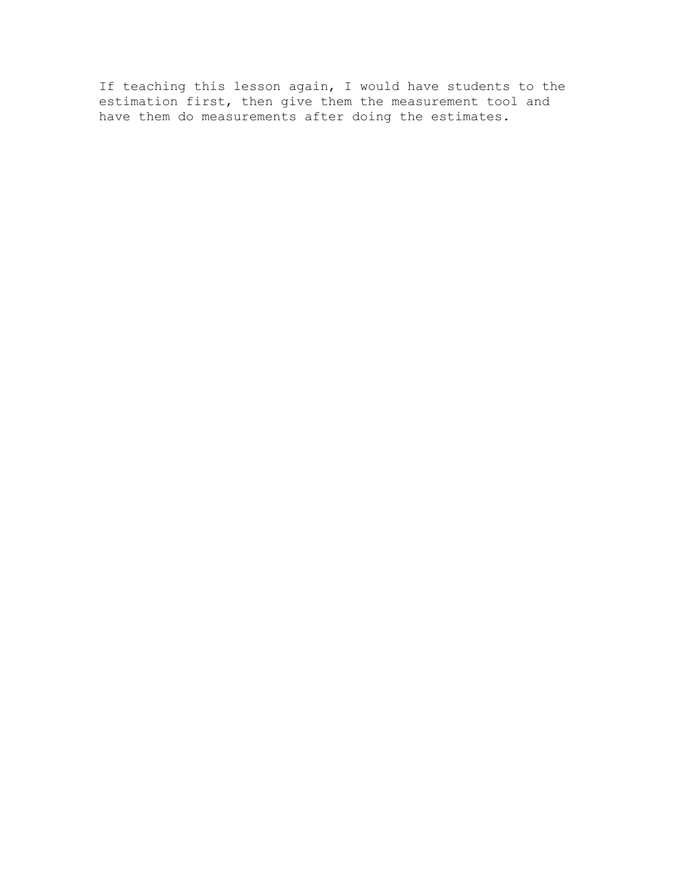If teaching this lesson again, I would have students to the estimation first, then give them the measurement tool and have them do measurements after doing the estimates.